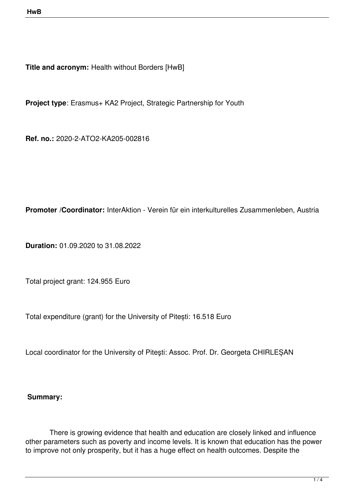**Title and acronym: Health without Borders [HwB]** 

**Project type**: Erasmus+ KA2 Project, Strategic Partnership for Youth

**Ref. no.:** 2020-2-ATO2-KA205-002816

**Promoter /Coordinator:** InterAktion - Verein für ein interkulturelles Zusammenleben, Austria

**Duration:** 01.09.2020 to 31.08.2022

Total project grant: 124.955 Euro

Total expenditure (grant) for the University of Pitești: 16.518 Euro

Local coordinator for the University of Piteşti: Assoc. Prof. Dr. Georgeta CHIRLEȘAN

## **Summary:**

 There is growing evidence that health and education are closely linked and influence other parameters such as poverty and income levels. It is known that education has the power to improve not only prosperity, but it has a huge effect on health outcomes. Despite the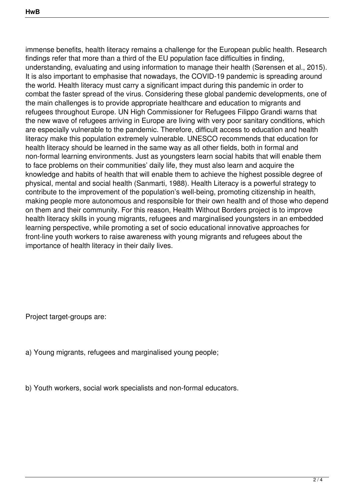immense benefits, health literacy remains a challenge for the European public health. Research findings refer that more than a third of the EU population face difficulties in finding, understanding, evaluating and using information to manage their health (Sørensen et al., 2015). It is also important to emphasise that nowadays, the COVID-19 pandemic is spreading around the world. Health literacy must carry a significant impact during this pandemic in order to combat the faster spread of the virus. Considering these global pandemic developments, one of the main challenges is to provide appropriate healthcare and education to migrants and refugees throughout Europe. UN High Commissioner for Refugees Filippo Grandi warns that the new wave of refugees arriving in Europe are living with very poor sanitary conditions, which are especially vulnerable to the pandemic. Therefore, difficult access to education and health literacy make this population extremely vulnerable. UNESCO recommends that education for health literacy should be learned in the same way as all other fields, both in formal and non-formal learning environments. Just as youngsters learn social habits that will enable them to face problems on their communities' daily life, they must also learn and acquire the knowledge and habits of health that will enable them to achieve the highest possible degree of physical, mental and social health (Sanmarti, 1988). Health Literacy is a powerful strategy to contribute to the improvement of the population's well-being, promoting citizenship in health, making people more autonomous and responsible for their own health and of those who depend on them and their community. For this reason, Health Without Borders project is to improve health literacy skills in young migrants, refugees and marginalised youngsters in an embedded learning perspective, while promoting a set of socio educational innovative approaches for front-line youth workers to raise awareness with young migrants and refugees about the importance of health literacy in their daily lives.

Project target-groups are:

- a) Young migrants, refugees and marginalised young people;
- b) Youth workers, social work specialists and non-formal educators.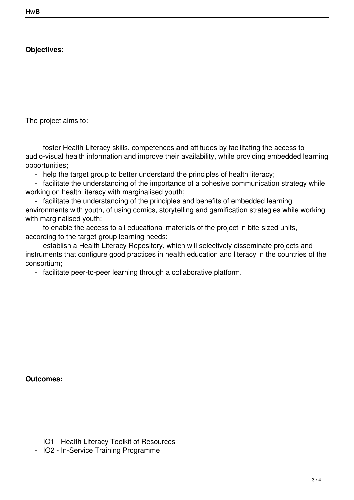## **Objectives:**

The project aims to:

 - foster Health Literacy skills, competences and attitudes by facilitating the access to audio-visual health information and improve their availability, while providing embedded learning opportunities;

- help the target group to better understand the principles of health literacy;

 - facilitate the understanding of the importance of a cohesive communication strategy while working on health literacy with marginalised youth;

 - facilitate the understanding of the principles and benefits of embedded learning environments with youth, of using comics, storytelling and gamification strategies while working with marginalised youth;

 - to enable the access to all educational materials of the project in bite-sized units, according to the target-group learning needs;

 - establish a Health Literacy Repository, which will selectively disseminate projects and instruments that configure good practices in health education and literacy in the countries of the consortium;

- facilitate peer-to-peer learning through a collaborative platform.

**Outcomes:**

- IO1 Health Literacy Toolkit of Resources
- IO2 In-Service Training Programme